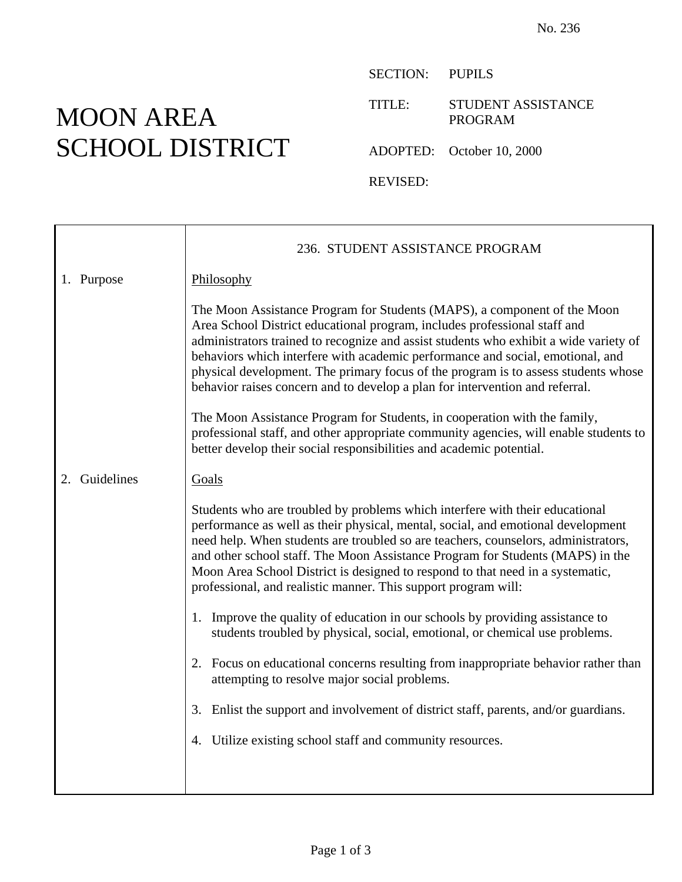## MOON AREA SCHOOL DISTRICT

SECTION: PUPILS

TITLE: STUDENT ASSISTANCE PROGRAM

ADOPTED: October 10, 2000

REVISED:

|    |            | 236. STUDENT ASSISTANCE PROGRAM                                                                                                                                                                                                                                                                                                                                                                                                                                                                        |
|----|------------|--------------------------------------------------------------------------------------------------------------------------------------------------------------------------------------------------------------------------------------------------------------------------------------------------------------------------------------------------------------------------------------------------------------------------------------------------------------------------------------------------------|
|    | 1. Purpose | Philosophy                                                                                                                                                                                                                                                                                                                                                                                                                                                                                             |
|    |            | The Moon Assistance Program for Students (MAPS), a component of the Moon<br>Area School District educational program, includes professional staff and<br>administrators trained to recognize and assist students who exhibit a wide variety of<br>behaviors which interfere with academic performance and social, emotional, and<br>physical development. The primary focus of the program is to assess students whose<br>behavior raises concern and to develop a plan for intervention and referral. |
|    |            | The Moon Assistance Program for Students, in cooperation with the family,<br>professional staff, and other appropriate community agencies, will enable students to<br>better develop their social responsibilities and academic potential.                                                                                                                                                                                                                                                             |
| 2. | Guidelines | Goals                                                                                                                                                                                                                                                                                                                                                                                                                                                                                                  |
|    |            | Students who are troubled by problems which interfere with their educational<br>performance as well as their physical, mental, social, and emotional development<br>need help. When students are troubled so are teachers, counselors, administrators,<br>and other school staff. The Moon Assistance Program for Students (MAPS) in the<br>Moon Area School District is designed to respond to that need in a systematic,<br>professional, and realistic manner. This support program will:           |
|    |            | 1. Improve the quality of education in our schools by providing assistance to<br>students troubled by physical, social, emotional, or chemical use problems.                                                                                                                                                                                                                                                                                                                                           |
|    |            | 2. Focus on educational concerns resulting from inappropriate behavior rather than<br>attempting to resolve major social problems.                                                                                                                                                                                                                                                                                                                                                                     |
|    |            | 3. Enlist the support and involvement of district staff, parents, and/or guardians.                                                                                                                                                                                                                                                                                                                                                                                                                    |
|    |            | 4. Utilize existing school staff and community resources.                                                                                                                                                                                                                                                                                                                                                                                                                                              |
|    |            |                                                                                                                                                                                                                                                                                                                                                                                                                                                                                                        |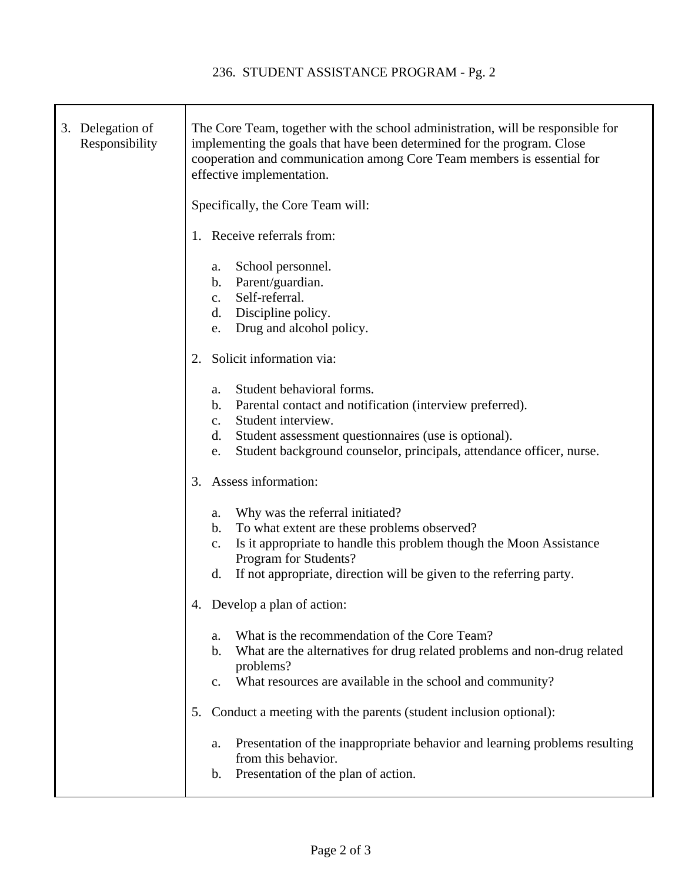| 3. Delegation of<br>Responsibility | The Core Team, together with the school administration, will be responsible for<br>implementing the goals that have been determined for the program. Close<br>cooperation and communication among Core Team members is essential for<br>effective implementation.                                 |
|------------------------------------|---------------------------------------------------------------------------------------------------------------------------------------------------------------------------------------------------------------------------------------------------------------------------------------------------|
|                                    | Specifically, the Core Team will:                                                                                                                                                                                                                                                                 |
|                                    | 1. Receive referrals from:                                                                                                                                                                                                                                                                        |
|                                    | School personnel.<br>a.<br>b. Parent/guardian.<br>Self-referral.<br>c.<br>d. Discipline policy.<br>Drug and alcohol policy.<br>e.                                                                                                                                                                 |
|                                    | Solicit information via:<br>2.                                                                                                                                                                                                                                                                    |
|                                    | Student behavioral forms.<br>a.<br>Parental contact and notification (interview preferred).<br>$\mathbf{b}$ .<br>Student interview.<br>$\mathbf{c}$ .<br>Student assessment questionnaires (use is optional).<br>d.<br>Student background counselor, principals, attendance officer, nurse.<br>e. |
|                                    | Assess information:<br>3.                                                                                                                                                                                                                                                                         |
|                                    | Why was the referral initiated?<br>a.<br>To what extent are these problems observed?<br>b.<br>Is it appropriate to handle this problem though the Moon Assistance<br>c.<br>Program for Students?<br>If not appropriate, direction will be given to the referring party.<br>d.                     |
|                                    | 4. Develop a plan of action:                                                                                                                                                                                                                                                                      |
|                                    | What is the recommendation of the Core Team?<br>a.<br>What are the alternatives for drug related problems and non-drug related<br>$\mathbf b$ .<br>problems?<br>What resources are available in the school and community?<br>c.                                                                   |
|                                    | Conduct a meeting with the parents (student inclusion optional):<br>5.                                                                                                                                                                                                                            |
|                                    | Presentation of the inappropriate behavior and learning problems resulting<br>a.<br>from this behavior.<br>Presentation of the plan of action.<br>$\mathbf b$ .                                                                                                                                   |